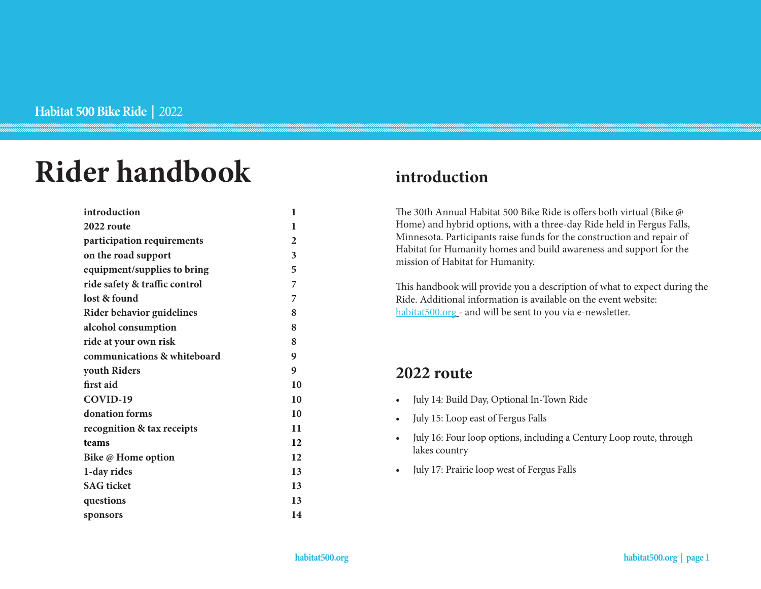# **Rider handbook**

| introduction                  | 1              |
|-------------------------------|----------------|
| 2022 route                    | 1              |
| participation requirements    | $\overline{2}$ |
| on the road support           | 3              |
| equipment/supplies to bring   | 5              |
| ride safety & traffic control | 7              |
| lost & found                  | 7              |
| Rider behavior guidelines     | 8              |
| alcohol consumption           | 8              |
| ride at your own risk         | 8              |
| communications & whiteboard   | 9              |
| youth Riders                  | 9              |
| first aid                     | 10             |
| COVID-19                      | 10             |
| donation forms                | 10             |
| recognition & tax receipts    | 11             |
| teams                         | 12             |
| Bike @ Home option            | 12             |
| 1-day rides                   | 13             |
| <b>SAG</b> ticket             | 13             |
|                               |                |
| questions                     | 13             |

### **introduction**

The 30th Annual Habitat 500 Bike Ride is offers both virtual (Bike @ Home) and hybrid options, with a three-day Ride held in Fergus Falls, Minnesota. Participants raise funds for the construction and repair of Habitat for Humanity homes and build awareness and support for the mission of Habitat for Humanity.

This handbook will provide you a description of what to expect during the Ride. Additional information is available on the event website: [habitat500.org](http://habitat500.org) - and will be sent to you via e-newsletter.

### **2022 route**

- July 14: Build Day, Optional In-Town Ride
- July 15: Loop east of Fergus Falls
- July 16: Four loop options, including a Century Loop route, through lakes country
- July 17: Prairie loop west of Fergus Falls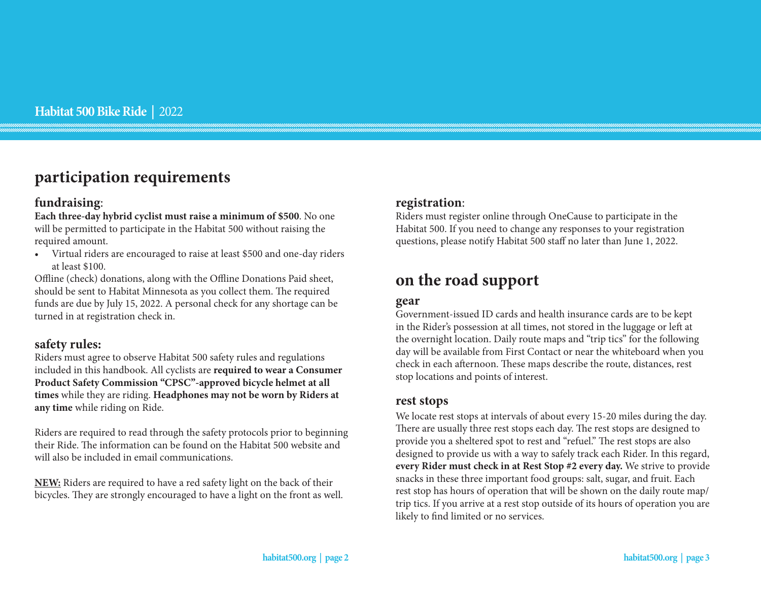### **participation requirements**

#### **fundraising**:

**Each three-day hybrid cyclist must raise a minimum of \$500**. No one will be permitted to participate in the Habitat 500 without raising the required amount.

• Virtual riders are encouraged to raise at least \$500 and one-day riders at least \$100.

Offline (check) donations, along with the Offline Donations Paid sheet, should be sent to Habitat Minnesota as you collect them. The required funds are due by July 15, 2022. A personal check for any shortage can be turned in at registration check in.

#### **safety rules:**

Riders must agree to observe Habitat 500 safety rules and regulations included in this handbook. All cyclists are **required to wear a Consumer Product Safety Commission "CPSC"-approved bicycle helmet at all times** while they are riding. **Headphones may not be worn by Riders at any time** while riding on Ride.

Riders are required to read through the safety protocols prior to beginning their Ride. The information can be found on the Habitat 500 website and will also be included in email communications.

**NEW:** Riders are required to have a red safety light on the back of their bicycles. They are strongly encouraged to have a light on the front as well.

#### **registration**:

Riders must register online through OneCause to participate in the Habitat 500. If you need to change any responses to your registration questions, please notify Habitat 500 staff no later than June 1, 2022.

### **on the road support**

#### **gear**

Government-issued ID cards and health insurance cards are to be kept in the Rider's possession at all times, not stored in the luggage or left at the overnight location. Daily route maps and "trip tics" for the following day will be available from First Contact or near the whiteboard when you check in each afternoon. These maps describe the route, distances, rest stop locations and points of interest.

#### **rest stops**

We locate rest stops at intervals of about every 15-20 miles during the day. There are usually three rest stops each day. The rest stops are designed to provide you a sheltered spot to rest and "refuel." The rest stops are also designed to provide us with a way to safely track each Rider. In this regard, **every Rider must check in at Rest Stop #2 every day.** We strive to provide snacks in these three important food groups: salt, sugar, and fruit. Each rest stop has hours of operation that will be shown on the daily route map/ trip tics. If you arrive at a rest stop outside of its hours of operation you are likely to find limited or no services.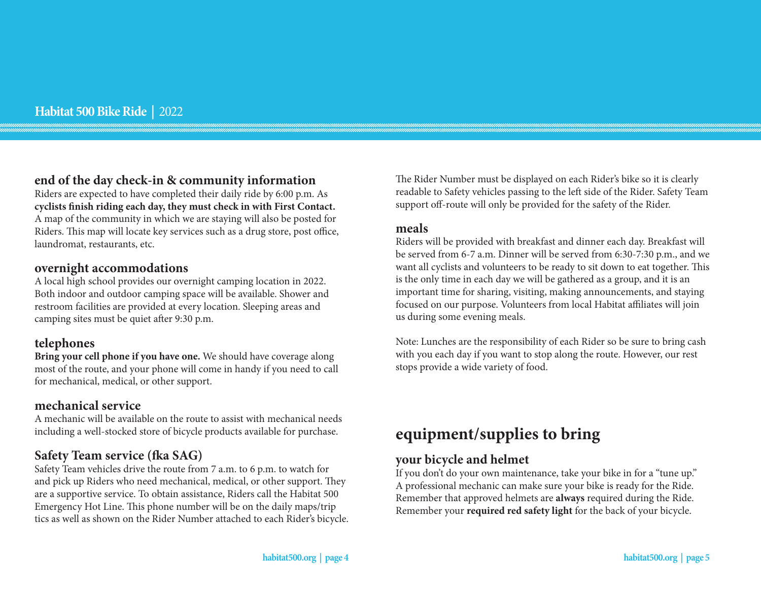#### **end of the day check-in & community information**

Riders are expected to have completed their daily ride by 6:00 p.m. As **cyclists finish riding each day, they must check in with First Contact.**  A map of the community in which we are staying will also be posted for Riders. This map will locate key services such as a drug store, post office, laundromat, restaurants, etc.

#### **overnight accommodations**

A local high school provides our overnight camping location in 2022. Both indoor and outdoor camping space will be available. Shower and restroom facilities are provided at every location. Sleeping areas and camping sites must be quiet after 9:30 p.m.

#### **telephones**

**Bring your cell phone if you have one.** We should have coverage along most of the route, and your phone will come in handy if you need to call for mechanical, medical, or other support.

#### **mechanical service**

A mechanic will be available on the route to assist with mechanical needs including a well-stocked store of bicycle products available for purchase.

### **Safety Team service (fka SAG)**

Safety Team vehicles drive the route from 7 a.m. to 6 p.m. to watch for and pick up Riders who need mechanical, medical, or other support. They are a supportive service. To obtain assistance, Riders call the Habitat 500 Emergency Hot Line. This phone number will be on the daily maps/trip tics as well as shown on the Rider Number attached to each Rider's bicycle. The Rider Number must be displayed on each Rider's bike so it is clearly readable to Safety vehicles passing to the left side of the Rider. Safety Team support off-route will only be provided for the safety of the Rider.

#### **meals**

Riders will be provided with breakfast and dinner each day. Breakfast will be served from 6-7 a.m. Dinner will be served from 6:30-7:30 p.m., and we want all cyclists and volunteers to be ready to sit down to eat together. This is the only time in each day we will be gathered as a group, and it is an important time for sharing, visiting, making announcements, and staying focused on our purpose. Volunteers from local Habitat affiliates will join us during some evening meals.

Note: Lunches are the responsibility of each Rider so be sure to bring cash with you each day if you want to stop along the route. However, our rest stops provide a wide variety of food.

### **equipment/supplies to bring**

#### **your bicycle and helmet**

If you don't do your own maintenance, take your bike in for a "tune up." A professional mechanic can make sure your bike is ready for the Ride. Remember that approved helmets are **always** required during the Ride. Remember your **required red safety light** for the back of your bicycle.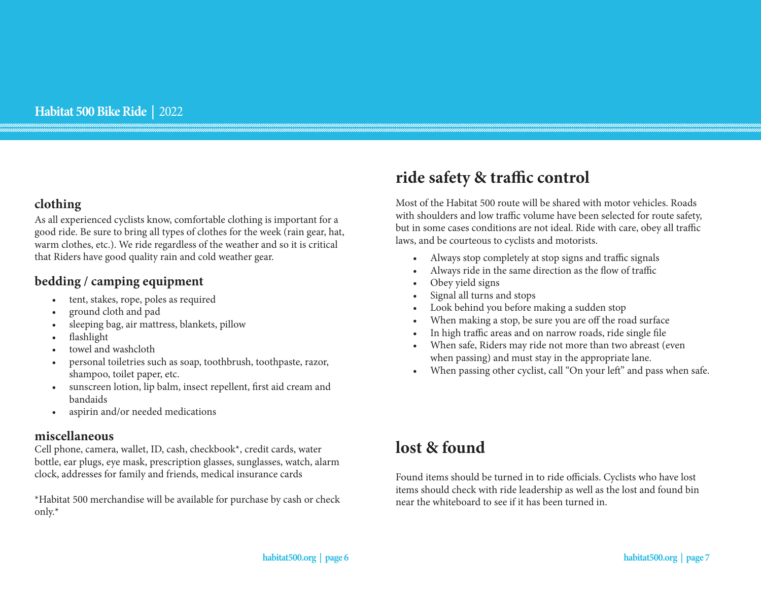#### **clothing**

As all experienced cyclists know, comfortable clothing is important for a good ride. Be sure to bring all types of clothes for the week (rain gear, hat, warm clothes, etc.). We ride regardless of the weather and so it is critical that Riders have good quality rain and cold weather gear.

### **bedding / camping equipment**

- tent, stakes, rope, poles as required
- ground cloth and pad
- sleeping bag, air mattress, blankets, pillow
- flashlight
- towel and washcloth
- personal toiletries such as soap, toothbrush, toothpaste, razor, shampoo, toilet paper, etc.
- sunscreen lotion, lip balm, insect repellent, first aid cream and bandaids
- aspirin and/or needed medications

#### **miscellaneous**

Cell phone, camera, wallet, ID, cash, checkbook\*, credit cards, water bottle, ear plugs, eye mask, prescription glasses, sunglasses, watch, alarm clock, addresses for family and friends, medical insurance cards

\*Habitat 500 merchandise will be available for purchase by cash or check only.\*

# **ride safety & traffic control**

Most of the Habitat 500 route will be shared with motor vehicles. Roads with shoulders and low traffic volume have been selected for route safety, but in some cases conditions are not ideal. Ride with care, obey all traffic laws, and be courteous to cyclists and motorists.

- Always stop completely at stop signs and traffic signals
- Always ride in the same direction as the flow of traffic
- Obey yield signs
- Signal all turns and stops
- Look behind you before making a sudden stop
- When making a stop, be sure you are off the road surface
- In high traffic areas and on narrow roads, ride single file
- When safe, Riders may ride not more than two abreast (even when passing) and must stay in the appropriate lane.
- When passing other cyclist, call "On your left" and pass when safe.

### **lost & found**

Found items should be turned in to ride officials. Cyclists who have lost items should check with ride leadership as well as the lost and found bin near the whiteboard to see if it has been turned in.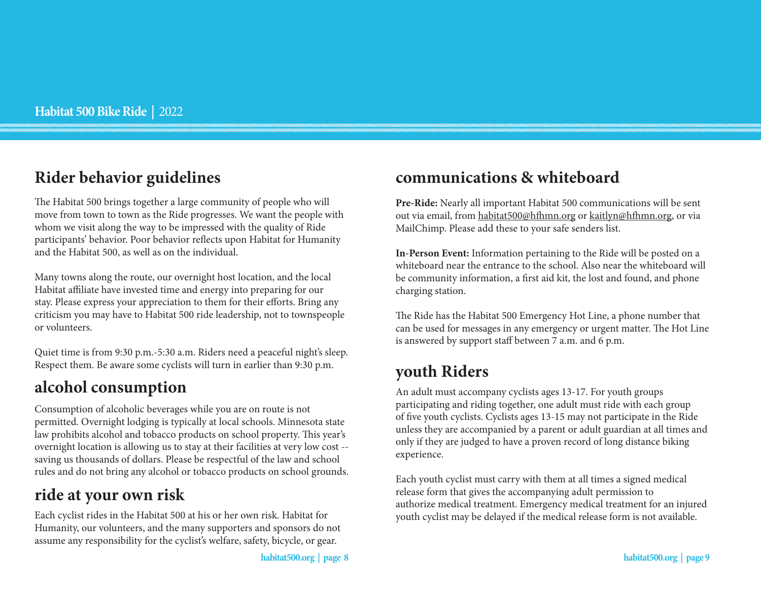### **Rider behavior guidelines**

The Habitat 500 brings together a large community of people who will move from town to town as the Ride progresses. We want the people with whom we visit along the way to be impressed with the quality of Ride participants' behavior. Poor behavior reflects upon Habitat for Humanity and the Habitat 500, as well as on the individual.

Many towns along the route, our overnight host location, and the local Habitat affiliate have invested time and energy into preparing for our stay. Please express your appreciation to them for their efforts. Bring any criticism you may have to Habitat 500 ride leadership, not to townspeople or volunteers.

Quiet time is from 9:30 p.m.-5:30 a.m. Riders need a peaceful night's sleep. Respect them. Be aware some cyclists will turn in earlier than 9:30 p.m.

## **alcohol consumption**

Consumption of alcoholic beverages while you are on route is not permitted. Overnight lodging is typically at local schools. Minnesota state law prohibits alcohol and tobacco products on school property. This year's overnight location is allowing us to stay at their facilities at very low cost - saving us thousands of dollars. Please be respectful of the law and school rules and do not bring any alcohol or tobacco products on school grounds.

## **ride at your own risk**

Each cyclist rides in the Habitat 500 at his or her own risk. Habitat for Humanity, our volunteers, and the many supporters and sponsors do not assume any responsibility for the cyclist's welfare, safety, bicycle, or gear.

### **communications & whiteboard**

**Pre-Ride:** Nearly all important Habitat 500 communications will be sent out via email, from habitat500@hfhmn.org or kaitlyn@hfhmn.org, or via MailChimp. Please add these to your safe senders list.

**In-Person Event:** Information pertaining to the Ride will be posted on a whiteboard near the entrance to the school. Also near the whiteboard will be community information, a first aid kit, the lost and found, and phone charging station.

The Ride has the Habitat 500 Emergency Hot Line, a phone number that can be used for messages in any emergency or urgent matter. The Hot Line is answered by support staff between 7 a.m. and 6 p.m.

## **youth Riders**

An adult must accompany cyclists ages 13-17. For youth groups participating and riding together, one adult must ride with each group of five youth cyclists. Cyclists ages 13-15 may not participate in the Ride unless they are accompanied by a parent or adult guardian at all times and only if they are judged to have a proven record of long distance biking experience.

Each youth cyclist must carry with them at all times a signed medical release form that gives the accompanying adult permission to authorize medical treatment. Emergency medical treatment for an injured youth cyclist may be delayed if the medical release form is not available.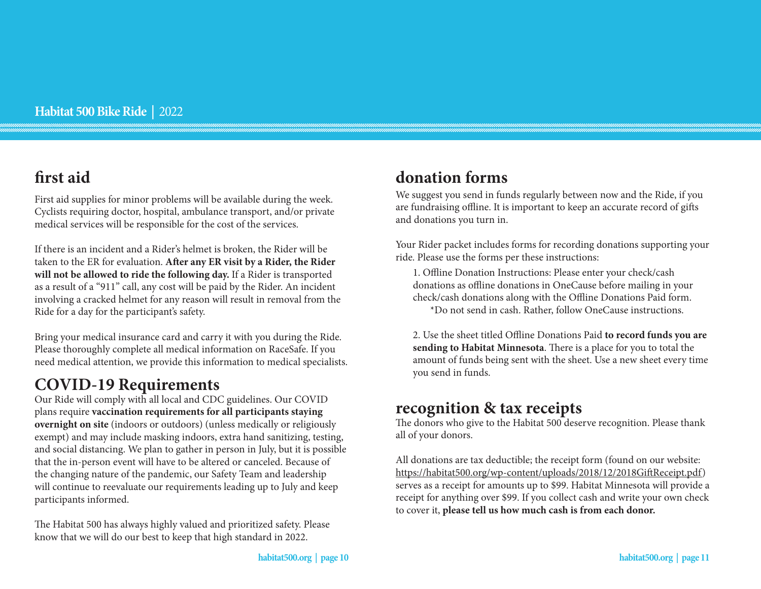# **first aid**

First aid supplies for minor problems will be available during the week. Cyclists requiring doctor, hospital, ambulance transport, and/or private medical services will be responsible for the cost of the services.

If there is an incident and a Rider's helmet is broken, the Rider will be taken to the ER for evaluation. **After any ER visit by a Rider, the Rider will not be allowed to ride the following day.** If a Rider is transported as a result of a "911" call, any cost will be paid by the Rider. An incident involving a cracked helmet for any reason will result in removal from the Ride for a day for the participant's safety.

Bring your medical insurance card and carry it with you during the Ride. Please thoroughly complete all medical information on RaceSafe. If you need medical attention, we provide this information to medical specialists.

### **COVID-19 Requirements**

Our Ride will comply with all local and CDC guidelines. Our COVID plans require **vaccination requirements for all participants staying overnight on site** (indoors or outdoors) (unless medically or religiously exempt) and may include masking indoors, extra hand sanitizing, testing, and social distancing. We plan to gather in person in July, but it is possible that the in-person event will have to be altered or canceled. Because of the changing nature of the pandemic, our Safety Team and leadership will continue to reevaluate our requirements leading up to July and keep participants informed.

The Habitat 500 has always highly valued and prioritized safety. Please know that we will do our best to keep that high standard in 2022.

# **donation forms**

We suggest you send in funds regularly between now and the Ride, if you are fundraising offline. It is important to keep an accurate record of gifts and donations you turn in.

Your Rider packet includes forms for recording donations supporting your ride. Please use the forms per these instructions:

1. Offline Donation Instructions: Please enter your check/cash donations as offline donations in OneCause before mailing in your check/cash donations along with the Offline Donations Paid form.

\*Do not send in cash. Rather, follow OneCause instructions.

2. Use the sheet titled Offline Donations Paid **to record funds you are sending to Habitat Minnesota**. There is a place for you to total the amount of funds being sent with the sheet. Use a new sheet every time you send in funds.

### **recognition & tax receipts**

The donors who give to the Habitat 500 deserve recognition. Please thank all of your donors.

All donations are tax deductible; the receipt form (found on our website: https://habitat500.org/wp-content/uploads/2018/12/2018GiftReceipt.pdf) serves as a receipt for amounts up to \$99. Habitat Minnesota will provide a receipt for anything over \$99. If you collect cash and write your own check to cover it, **please tell us how much cash is from each donor.**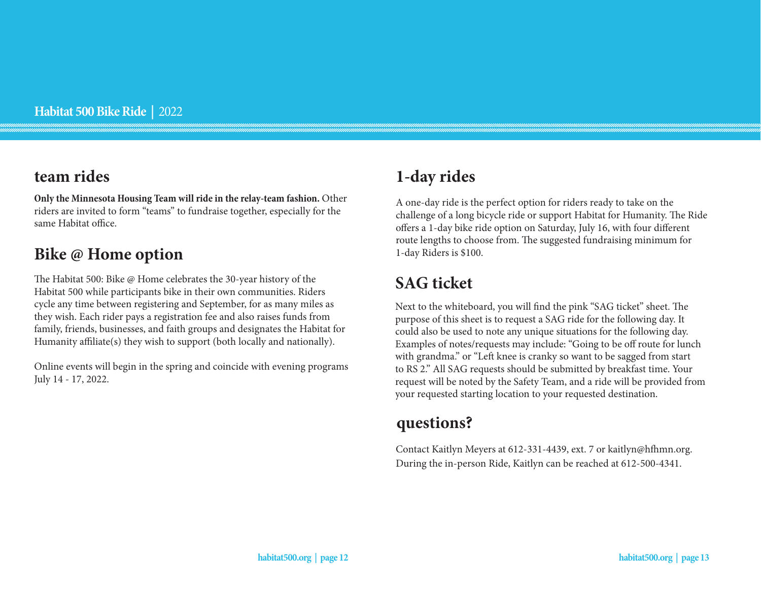### **team rides**

**Only the Minnesota Housing Team will ride in the relay-team fashion.** Other riders are invited to form "teams" to fundraise together, especially for the same Habitat office.

### **Bike @ Home option**

The Habitat 500: Bike @ Home celebrates the 30-year history of the Habitat 500 while participants bike in their own communities. Riders cycle any time between registering and September, for as many miles as they wish. Each rider pays a registration fee and also raises funds from family, friends, businesses, and faith groups and designates the Habitat for Humanity affiliate(s) they wish to support (both locally and nationally).

Online events will begin in the spring and coincide with evening programs July 14 - 17, 2022.

# **1-day rides**

A one-day ride is the perfect option for riders ready to take on the challenge of a long bicycle ride or support Habitat for Humanity. The Ride offers a 1-day bike ride option on Saturday, July 16, with four different route lengths to choose from. The suggested fundraising minimum for 1-day Riders is \$100.

# **SAG ticket**

Next to the whiteboard, you will find the pink "SAG ticket" sheet. The purpose of this sheet is to request a SAG ride for the following day. It could also be used to note any unique situations for the following day. Examples of notes/requests may include: "Going to be off route for lunch with grandma." or "Left knee is cranky so want to be sagged from start to RS 2." All SAG requests should be submitted by breakfast time. Your request will be noted by the Safety Team, and a ride will be provided from your requested starting location to your requested destination.

### **questions?**

Contact Kaitlyn Meyers at 612-331-4439, ext. 7 or kaitlyn@hfhmn.org. During the in-person Ride, Kaitlyn can be reached at 612-500-4341.